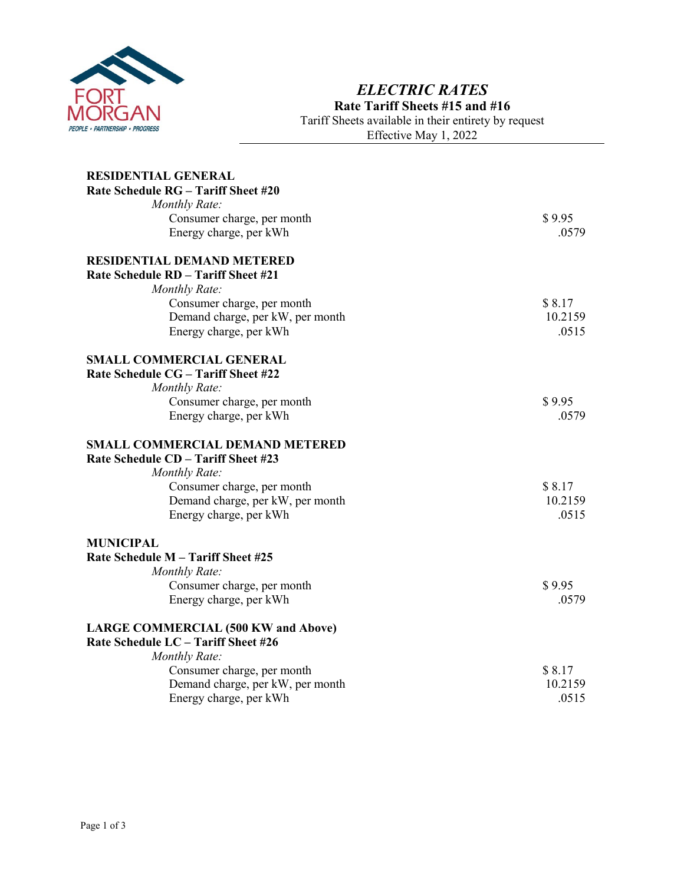

## *ELECTRIC RATES* **Rate Tariff Sheets #15 and #16** Tariff Sheets available in their entirety by request

Effective May 1, 2022

| <b>RESIDENTIAL GENERAL</b>                                                        |                   |
|-----------------------------------------------------------------------------------|-------------------|
| Rate Schedule RG - Tariff Sheet #20                                               |                   |
| Monthly Rate:                                                                     |                   |
| Consumer charge, per month                                                        | \$9.95            |
| Energy charge, per kWh                                                            | .0579             |
|                                                                                   |                   |
| <b>RESIDENTIAL DEMAND METERED</b>                                                 |                   |
| Rate Schedule RD - Tariff Sheet #21                                               |                   |
| Monthly Rate:                                                                     |                   |
| Consumer charge, per month                                                        | \$8.17            |
| Demand charge, per kW, per month                                                  | 10.2159           |
| Energy charge, per kWh                                                            | .0515             |
|                                                                                   |                   |
| <b>SMALL COMMERCIAL GENERAL</b>                                                   |                   |
| Rate Schedule CG - Tariff Sheet #22                                               |                   |
| <b>Monthly Rate:</b>                                                              |                   |
| Consumer charge, per month                                                        | \$9.95            |
| Energy charge, per kWh                                                            | .0579             |
| <b>SMALL COMMERCIAL DEMAND METERED</b>                                            |                   |
| Rate Schedule CD - Tariff Sheet #23                                               |                   |
| Monthly Rate:                                                                     |                   |
| Consumer charge, per month                                                        | \$8.17            |
| Demand charge, per kW, per month                                                  | 10.2159           |
| Energy charge, per kWh                                                            | .0515             |
|                                                                                   |                   |
| <b>MUNICIPAL</b>                                                                  |                   |
| Rate Schedule M - Tariff Sheet #25                                                |                   |
| <b>Monthly Rate:</b>                                                              |                   |
| Consumer charge, per month                                                        | \$9.95            |
| Energy charge, per kWh                                                            | .0579             |
|                                                                                   |                   |
| <b>LARGE COMMERCIAL (500 KW and Above)</b><br>Rate Schedule LC - Tariff Sheet #26 |                   |
|                                                                                   |                   |
| <b>Monthly Rate:</b>                                                              |                   |
| Consumer charge, per month                                                        | \$8.17<br>10.2159 |
| Demand charge, per kW, per month                                                  |                   |
| Energy charge, per kWh                                                            | .0515             |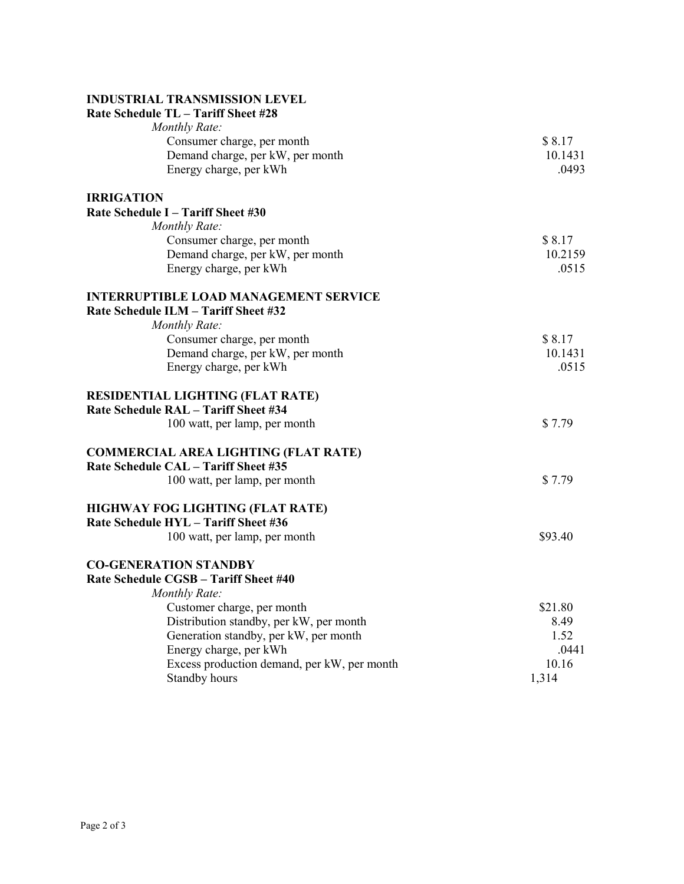## **INDUSTRIAL TRANSMISSION LEVEL**

| Rate Schedule TL - Tariff Sheet #28          |         |
|----------------------------------------------|---------|
| Monthly Rate:                                |         |
| Consumer charge, per month                   | \$8.17  |
| Demand charge, per kW, per month             | 10.1431 |
| Energy charge, per kWh                       | .0493   |
| <b>IRRIGATION</b>                            |         |
| Rate Schedule I - Tariff Sheet #30           |         |
| Monthly Rate:                                |         |
| Consumer charge, per month                   | \$8.17  |
| Demand charge, per kW, per month             | 10.2159 |
| Energy charge, per kWh                       | .0515   |
| <b>INTERRUPTIBLE LOAD MANAGEMENT SERVICE</b> |         |
| Rate Schedule ILM - Tariff Sheet #32         |         |
| Monthly Rate:                                |         |
| Consumer charge, per month                   | \$8.17  |
| Demand charge, per kW, per month             | 10.1431 |
| Energy charge, per kWh                       | .0515   |
| <b>RESIDENTIAL LIGHTING (FLAT RATE)</b>      |         |
| Rate Schedule RAL - Tariff Sheet #34         |         |
| 100 watt, per lamp, per month                | \$7.79  |
| <b>COMMERCIAL AREA LIGHTING (FLAT RATE)</b>  |         |
| Rate Schedule CAL - Tariff Sheet #35         |         |
| 100 watt, per lamp, per month                | \$7.79  |
| HIGHWAY FOG LIGHTING (FLAT RATE)             |         |
| Rate Schedule HYL - Tariff Sheet #36         |         |
| 100 watt, per lamp, per month                | \$93.40 |
| <b>CO-GENERATION STANDBY</b>                 |         |
| Rate Schedule CGSB - Tariff Sheet #40        |         |
| Monthly Rate:                                |         |
| Customer charge, per month                   | \$21.80 |
| Distribution standby, per kW, per month      | 8.49    |
| Generation standby, per kW, per month        | 1.52    |
| Energy charge, per kWh                       | .0441   |
| Excess production demand, per kW, per month  | 10.16   |
| Standby hours                                | 1,314   |